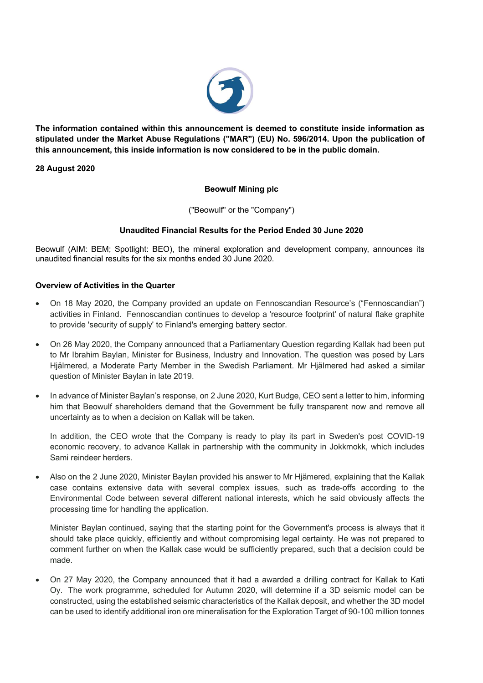

**The information contained within this announcement is deemed to constitute inside information as stipulated under the Market Abuse Regulations ("MAR") (EU) No. 596/2014. Upon the publication of this announcement, this inside information is now considered to be in the public domain.**

# **28 August 2020**

# **Beowulf Mining plc**

("Beowulf" or the "Company")

# **Unaudited Financial Results for the Period Ended 30 June 2020**

Beowulf (AIM: BEM; Spotlight: BEO), the mineral exploration and development company, announces its unaudited financial results for the six months ended 30 June 2020.

## **Overview of Activities in the Quarter**

- On 18 May 2020, the Company provided an update on Fennoscandian Resource's ("Fennoscandian") activities in Finland. Fennoscandian continues to develop a 'resource footprint' of natural flake graphite to provide 'security of supply' to Finland's emerging battery sector.
- On 26 May 2020, the Company announced that a Parliamentary Question regarding Kallak had been put to Mr Ibrahim Baylan, Minister for Business, Industry and Innovation. The question was posed by Lars Hjälmered, a Moderate Party Member in the Swedish Parliament. Mr Hjälmered had asked a similar question of Minister Baylan in late 2019.
- In advance of Minister Baylan's response, on 2 June 2020, Kurt Budge, CEO sent a letter to him, informing him that Beowulf shareholders demand that the Government be fully transparent now and remove all uncertainty as to when a decision on Kallak will be taken.

In addition, the CEO wrote that the Company is ready to play its part in Sweden's post COVID-19 economic recovery, to advance Kallak in partnership with the community in Jokkmokk, which includes Sami reindeer herders.

• Also on the 2 June 2020, Minister Baylan provided his answer to Mr Hjämered, explaining that the Kallak case contains extensive data with several complex issues, such as trade-offs according to the Environmental Code between several different national interests, which he said obviously affects the processing time for handling the application.

Minister Baylan continued, saying that the starting point for the Government's process is always that it should take place quickly, efficiently and without compromising legal certainty. He was not prepared to comment further on when the Kallak case would be sufficiently prepared, such that a decision could be made.

• On 27 May 2020, the Company announced that it had a awarded a drilling contract for Kallak to Kati Oy. The work programme, scheduled for Autumn 2020, will determine if a 3D seismic model can be constructed, using the established seismic characteristics of the Kallak deposit, and whether the 3D model can be used to identify additional iron ore mineralisation for the Exploration Target of 90-100 million tonnes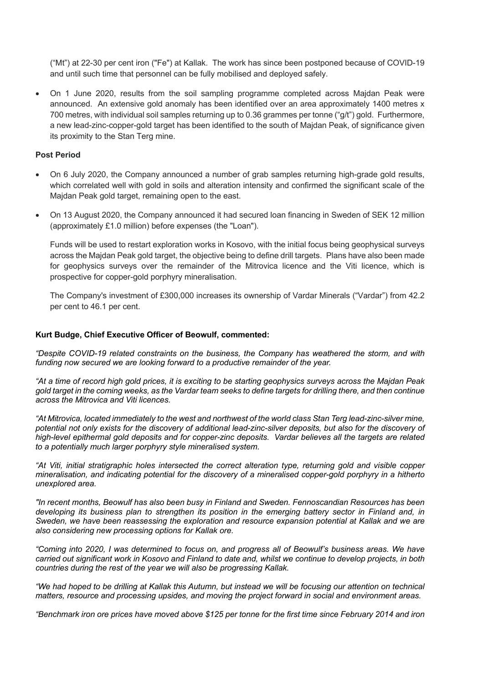("Mt") at 22-30 per cent iron ("Fe") at Kallak. The work has since been postponed because of COVID-19 and until such time that personnel can be fully mobilised and deployed safely.

• On 1 June 2020, results from the soil sampling programme completed across Majdan Peak were announced. An extensive gold anomaly has been identified over an area approximately 1400 metres x 700 metres, with individual soil samples returning up to 0.36 grammes per tonne ("g/t") gold. Furthermore, a new lead-zinc-copper-gold target has been identified to the south of Majdan Peak, of significance given its proximity to the Stan Terg mine.

## **Post Period**

- On 6 July 2020, the Company announced a number of grab samples returning high-grade gold results, which correlated well with gold in soils and alteration intensity and confirmed the significant scale of the Majdan Peak gold target, remaining open to the east.
- On 13 August 2020, the Company announced it had secured loan financing in Sweden of SEK 12 million (approximately £1.0 million) before expenses (the "Loan").

Funds will be used to restart exploration works in Kosovo, with the initial focus being geophysical surveys across the Majdan Peak gold target, the objective being to define drill targets. Plans have also been made for geophysics surveys over the remainder of the Mitrovica licence and the Viti licence, which is prospective for copper-gold porphyry mineralisation.

The Company's investment of £300,000 increases its ownership of Vardar Minerals ("Vardar") from 42.2 per cent to 46.1 per cent.

#### **Kurt Budge, Chief Executive Officer of Beowulf, commented:**

*"Despite COVID-19 related constraints on the business, the Company has weathered the storm, and with*  funding now secured we are looking forward to a productive remainder of the year.

*"At a time of record high gold prices, it is exciting to be starting geophysics surveys across the Majdan Peak gold target in the coming weeks, as the Vardar team seeks to define targets for drilling there, and then continue across the Mitrovica and Viti licences.*

*"At Mitrovica, located immediately to the west and northwest of the world class Stan Terg lead-zinc-silver mine, potential not only exists for the discovery of additional lead-zinc-silver deposits, but also for the discovery of high-level epithermal gold deposits and for copper-zinc deposits. Vardar believes all the targets are related to a potentially much larger porphyry style mineralised system.*

*"At Viti, initial stratigraphic holes intersected the correct alteration type, returning gold and visible copper mineralisation, and indicating potential for the discovery of a mineralised copper-gold porphyry in a hitherto unexplored area.* 

*"In recent months, Beowulf has also been busy in Finland and Sweden. Fennoscandian Resources has been developing its business plan to strengthen its position in the emerging battery sector in Finland and, in Sweden, we have been reassessing the exploration and resource expansion potential at Kallak and we are also considering new processing options for Kallak ore.*

*"Coming into 2020, I was determined to focus on, and progress all of Beowulf's business areas. We have carried out significant work in Kosovo and Finland to date and, whilst we continue to develop projects, in both countries during the rest of the year we will also be progressing Kallak.* 

*"We had hoped to be drilling at Kallak this Autumn, but instead we will be focusing our attention on technical matters, resource and processing upsides, and moving the project forward in social and environment areas.* 

*"Benchmark iron ore prices have moved above \$125 per tonne for the first time since February 2014 and iron*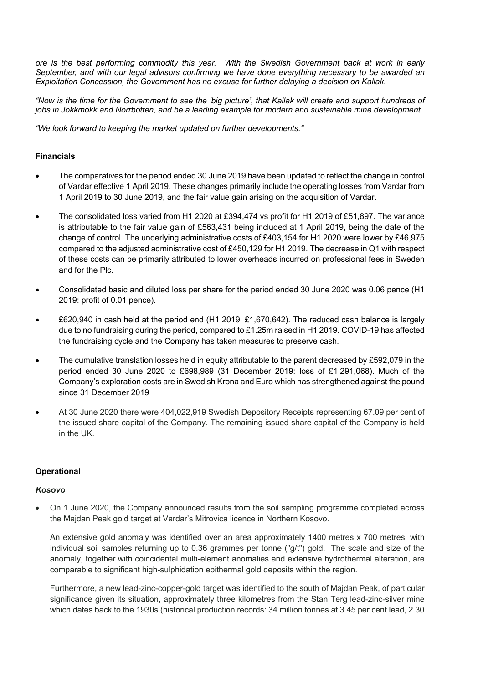*ore is the best performing commodity this year. With the Swedish Government back at work in early September, and with our legal advisors confirming we have done everything necessary to be awarded an Exploitation Concession, the Government has no excuse for further delaying a decision on Kallak.*

*"Now is the time for the Government to see the 'big picture', that Kallak will create and support hundreds of jobs in Jokkmokk and Norrbotten, and be a leading example for modern and sustainable mine development.* 

*"We look forward to keeping the market updated on further developments."*

# **Financials**

- The comparatives for the period ended 30 June 2019 have been updated to reflect the change in control of Vardar effective 1 April 2019. These changes primarily include the operating losses from Vardar from 1 April 2019 to 30 June 2019, and the fair value gain arising on the acquisition of Vardar.
- The consolidated loss varied from H1 2020 at £394,474 vs profit for H1 2019 of £51,897. The variance is attributable to the fair value gain of £563,431 being included at 1 April 2019, being the date of the change of control. The underlying administrative costs of £403,154 for H1 2020 were lower by £46,975 compared to the adjusted administrative cost of £450,129 for H1 2019. The decrease in Q1 with respect of these costs can be primarily attributed to lower overheads incurred on professional fees in Sweden and for the Plc.
- Consolidated basic and diluted loss per share for the period ended 30 June 2020 was 0.06 pence (H1 2019: profit of 0.01 pence).
- £620,940 in cash held at the period end (H1 2019: £1,670,642). The reduced cash balance is largely due to no fundraising during the period, compared to £1.25m raised in H1 2019. COVID-19 has affected the fundraising cycle and the Company has taken measures to preserve cash.
- The cumulative translation losses held in equity attributable to the parent decreased by £592,079 in the period ended 30 June 2020 to £698,989 (31 December 2019: loss of £1,291,068). Much of the Company's exploration costs are in Swedish Krona and Euro which has strengthened against the pound since 31 December 2019
- At 30 June 2020 there were 404,022,919 Swedish Depository Receipts representing 67.09 per cent of the issued share capital of the Company. The remaining issued share capital of the Company is held in the UK.

## **Operational**

## *Kosovo*

• On 1 June 2020, the Company announced results from the soil sampling programme completed across the Majdan Peak gold target at Vardar's Mitrovica licence in Northern Kosovo.

An extensive gold anomaly was identified over an area approximately 1400 metres x 700 metres, with individual soil samples returning up to 0.36 grammes per tonne ("g/t") gold. The scale and size of the anomaly, together with coincidental multi-element anomalies and extensive hydrothermal alteration, are comparable to significant high-sulphidation epithermal gold deposits within the region.

Furthermore, a new lead-zinc-copper-gold target was identified to the south of Majdan Peak, of particular significance given its situation, approximately three kilometres from the Stan Terg lead-zinc-silver mine which dates back to the 1930s (historical production records: 34 million tonnes at 3.45 per cent lead, 2.30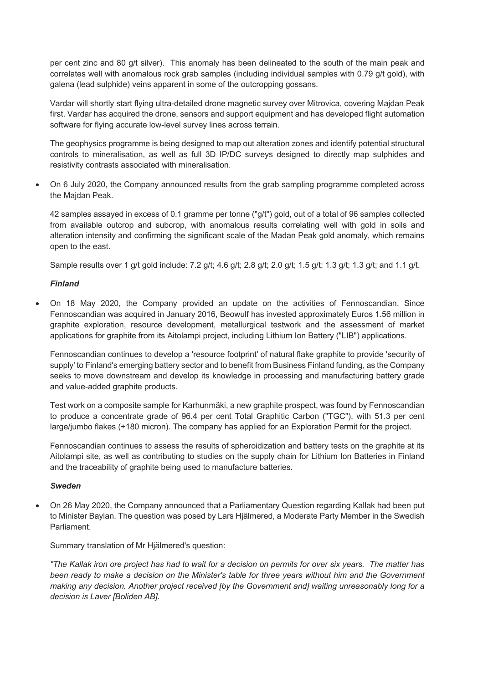per cent zinc and 80 g/t silver). This anomaly has been delineated to the south of the main peak and correlates well with anomalous rock grab samples (including individual samples with 0.79 g/t gold), with galena (lead sulphide) veins apparent in some of the outcropping gossans.

Vardar will shortly start flying ultra-detailed drone magnetic survey over Mitrovica, covering Majdan Peak first. Vardar has acquired the drone, sensors and support equipment and has developed flight automation software for flying accurate low-level survey lines across terrain.

The geophysics programme is being designed to map out alteration zones and identify potential structural controls to mineralisation, as well as full 3D IP/DC surveys designed to directly map sulphides and resistivity contrasts associated with mineralisation.

• On 6 July 2020, the Company announced results from the grab sampling programme completed across the Majdan Peak.

42 samples assayed in excess of 0.1 gramme per tonne ("g/t") gold, out of a total of 96 samples collected from available outcrop and subcrop, with anomalous results correlating well with gold in soils and alteration intensity and confirming the significant scale of the Madan Peak gold anomaly, which remains open to the east.

Sample results over 1 g/t gold include: 7.2 g/t; 4.6 g/t; 2.8 g/t; 2.0 g/t; 1.5 g/t; 1.3 g/t; 1.3 g/t; and 1.1 g/t.

# *Finland*

• On 18 May 2020, the Company provided an update on the activities of Fennoscandian. Since Fennoscandian was acquired in January 2016, Beowulf has invested approximately Euros 1.56 million in graphite exploration, resource development, metallurgical testwork and the assessment of market applications for graphite from its Aitolampi project, including Lithium Ion Battery ("LIB") applications.

Fennoscandian continues to develop a 'resource footprint' of natural flake graphite to provide 'security of supply' to Finland's emerging battery sector and to benefit from Business Finland funding, as the Company seeks to move downstream and develop its knowledge in processing and manufacturing battery grade and value-added graphite products.

Test work on a composite sample for Karhunmäki, a new graphite prospect, was found by Fennoscandian to produce a concentrate grade of 96.4 per cent Total Graphitic Carbon ("TGC"), with 51.3 per cent large/jumbo flakes (+180 micron). The company has applied for an Exploration Permit for the project.

Fennoscandian continues to assess the results of spheroidization and battery tests on the graphite at its Aitolampi site, as well as contributing to studies on the supply chain for Lithium Ion Batteries in Finland and the traceability of graphite being used to manufacture batteries.

## *Sweden*

• On 26 May 2020, the Company announced that a Parliamentary Question regarding Kallak had been put to Minister Baylan. The question was posed by Lars Hjälmered, a Moderate Party Member in the Swedish Parliament.

Summary translation of Mr Hjälmered's question:

*"The Kallak iron ore project has had to wait for a decision on permits for over six years. The matter has been ready to make a decision on the Minister's table for three years without him and the Government making any decision. Another project received [by the Government and] waiting unreasonably long for a decision is Laver [Boliden AB].*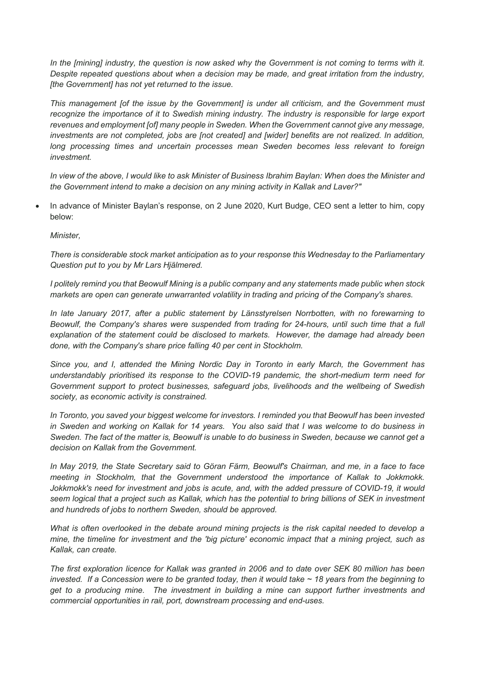In the [mining] industry, the question is now asked why the Government is not coming to terms with it. *Despite repeated questions about when a decision may be made, and great irritation from the industry, [the Government] has not yet returned to the issue.*

*This management [of the issue by the Government] is under all criticism, and the Government must recognize the importance of it to Swedish mining industry. The industry is responsible for large export revenues and employment [of] many people in Sweden. When the Government cannot give any message, investments are not completed, jobs are [not created] and [wider] benefits are not realized. In addition,*  long processing times and uncertain processes mean Sweden becomes less relevant to foreign *investment.*

*In view of the above, I would like to ask Minister of Business Ibrahim Baylan: When does the Minister and the Government intend to make a decision on any mining activity in Kallak and Laver?"*

• In advance of Minister Baylan's response, on 2 June 2020, Kurt Budge, CEO sent a letter to him, copy below:

*Minister,* 

*There is considerable stock market anticipation as to your response this Wednesday to the Parliamentary Question put to you by Mr Lars Hjälmered.* 

*I politely remind you that Beowulf Mining is a public company and any statements made public when stock markets are open can generate unwarranted volatility in trading and pricing of the Company's shares.* 

*In late January 2017, after a public statement by Länsstyrelsen Norrbotten, with no forewarning to Beowulf, the Company's shares were suspended from trading for 24-hours, until such time that a full explanation of the statement could be disclosed to markets. However, the damage had already been done, with the Company's share price falling 40 per cent in Stockholm.* 

*Since you, and I, attended the Mining Nordic Day in Toronto in early March, the Government has understandably prioritised its response to the COVID-19 pandemic, the short-medium term need for Government support to protect businesses, safeguard jobs, livelihoods and the wellbeing of Swedish society, as economic activity is constrained.* 

*In Toronto, you saved your biggest welcome for investors. I reminded you that Beowulf has been invested in Sweden and working on Kallak for 14 years. You also said that I was welcome to do business in Sweden. The fact of the matter is, Beowulf is unable to do business in Sweden, because we cannot get a decision on Kallak from the Government.* 

*In May 2019, the State Secretary said to Göran Färm, Beowulf's Chairman, and me, in a face to face meeting in Stockholm, that the Government understood the importance of Kallak to Jokkmokk. Jokkmokk's need for investment and jobs is acute, and, with the added pressure of COVID-19, it would seem logical that a project such as Kallak, which has the potential to bring billions of SEK in investment and hundreds of jobs to northern Sweden, should be approved.* 

*What is often overlooked in the debate around mining projects is the risk capital needed to develop a mine, the timeline for investment and the 'big picture' economic impact that a mining project, such as Kallak, can create.* 

*The first exploration licence for Kallak was granted in 2006 and to date over SEK 80 million has been invested. If a Concession were to be granted today, then it would take ~ 18 years from the beginning to get to a producing mine. The investment in building a mine can support further investments and commercial opportunities in rail, port, downstream processing and end-uses.*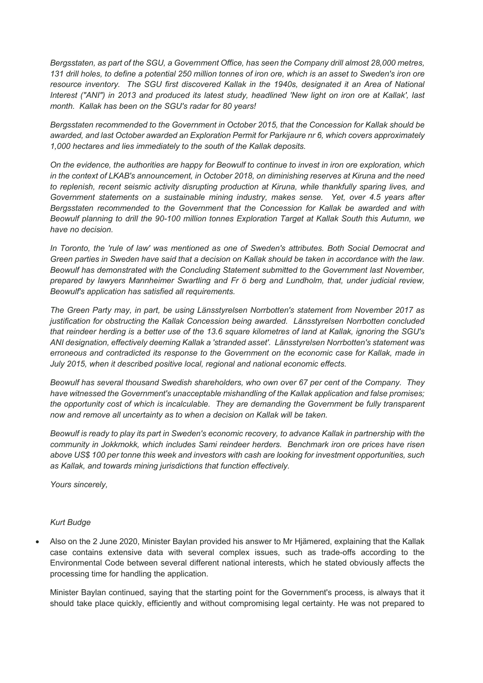*Bergsstaten, as part of the SGU, a Government Office, has seen the Company drill almost 28,000 metres, 131 drill holes, to define a potential 250 million tonnes of iron ore, which is an asset to Sweden's iron ore*  resource inventory. The SGU first discovered Kallak in the 1940s, designated it an Area of National *Interest ("ANI") in 2013 and produced its latest study, headlined 'New light on iron ore at Kallak', last month. Kallak has been on the SGU's radar for 80 years!* 

*Bergsstaten recommended to the Government in October 2015, that the Concession for Kallak should be awarded, and last October awarded an Exploration Permit for Parkijaure nr 6, which covers approximately 1,000 hectares and lies immediately to the south of the Kallak deposits.* 

*On the evidence, the authorities are happy for Beowulf to continue to invest in iron ore exploration, which in the context of LKAB's announcement, in October 2018, on diminishing reserves at Kiruna and the need to replenish, recent seismic activity disrupting production at Kiruna, while thankfully sparing lives, and Government statements on a sustainable mining industry, makes sense. Yet, over 4.5 years after Bergsstaten recommended to the Government that the Concession for Kallak be awarded and with Beowulf planning to drill the 90-100 million tonnes Exploration Target at Kallak South this Autumn, we have no decision.* 

*In Toronto, the 'rule of law' was mentioned as one of Sweden's attributes. Both Social Democrat and Green parties in Sweden have said that a decision on Kallak should be taken in accordance with the law. Beowulf has demonstrated with the Concluding Statement submitted to the Government last November, prepared by lawyers Mannheimer Swartling and Fr ö berg and Lundholm, that, under judicial review, Beowulf's application has satisfied all requirements.* 

*The Green Party may, in part, be using Länsstyrelsen Norrbotten's statement from November 2017 as justification for obstructing the Kallak Concession being awarded. Länsstyrelsen Norrbotten concluded that reindeer herding is a better use of the 13.6 square kilometres of land at Kallak, ignoring the SGU's ANI designation, effectively deeming Kallak a 'stranded asset'. Länsstyrelsen Norrbotten's statement was erroneous and contradicted its response to the Government on the economic case for Kallak, made in July 2015, when it described positive local, regional and national economic effects.* 

*Beowulf has several thousand Swedish shareholders, who own over 67 per cent of the Company. They have witnessed the Government's unacceptable mishandling of the Kallak application and false promises; the opportunity cost of which is incalculable. They are demanding the Government be fully transparent now and remove all uncertainty as to when a decision on Kallak will be taken.* 

*Beowulf is ready to play its part in Sweden's economic recovery, to advance Kallak in partnership with the community in Jokkmokk, which includes Sami reindeer herders. Benchmark iron ore prices have risen above US\$ 100 per tonne this week and investors with cash are looking for investment opportunities, such as Kallak, and towards mining jurisdictions that function effectively.* 

*Yours sincerely,* 

## *Kurt Budge*

• Also on the 2 June 2020, Minister Baylan provided his answer to Mr Hjämered, explaining that the Kallak case contains extensive data with several complex issues, such as trade-offs according to the Environmental Code between several different national interests, which he stated obviously affects the processing time for handling the application.

Minister Baylan continued, saying that the starting point for the Government's process, is always that it should take place quickly, efficiently and without compromising legal certainty. He was not prepared to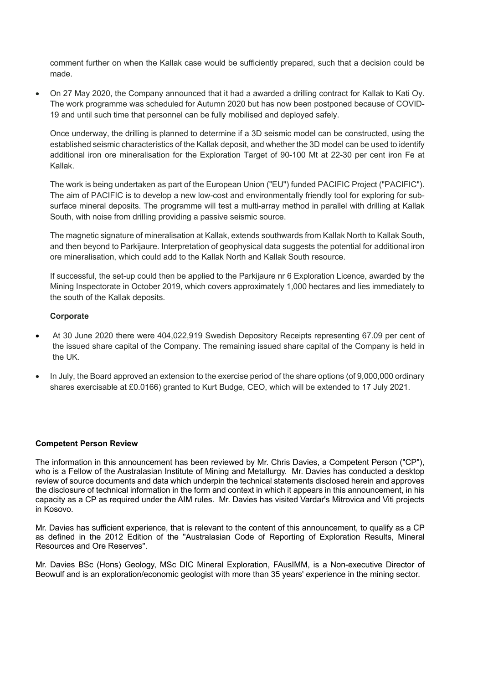comment further on when the Kallak case would be sufficiently prepared, such that a decision could be made.

• On 27 May 2020, the Company announced that it had a awarded a drilling contract for Kallak to Kati Oy. The work programme was scheduled for Autumn 2020 but has now been postponed because of COVID-19 and until such time that personnel can be fully mobilised and deployed safely.

Once underway, the drilling is planned to determine if a 3D seismic model can be constructed, using the established seismic characteristics of the Kallak deposit, and whether the 3D model can be used to identify additional iron ore mineralisation for the Exploration Target of 90-100 Mt at 22-30 per cent iron Fe at Kallak.

The work is being undertaken as part of the European Union ("EU") funded PACIFIC Project ("PACIFIC"). The aim of PACIFIC is to develop a new low-cost and environmentally friendly tool for exploring for subsurface mineral deposits. The programme will test a multi-array method in parallel with drilling at Kallak South, with noise from drilling providing a passive seismic source.

The magnetic signature of mineralisation at Kallak, extends southwards from Kallak North to Kallak South, and then beyond to Parkijaure. Interpretation of geophysical data suggests the potential for additional iron ore mineralisation, which could add to the Kallak North and Kallak South resource.

If successful, the set-up could then be applied to the Parkijaure nr 6 Exploration Licence, awarded by the Mining Inspectorate in October 2019, which covers approximately 1,000 hectares and lies immediately to the south of the Kallak deposits.

#### **Corporate**

- At 30 June 2020 there were 404,022,919 Swedish Depository Receipts representing 67.09 per cent of the issued share capital of the Company. The remaining issued share capital of the Company is held in the UK.
- In July, the Board approved an extension to the exercise period of the share options (of 9,000,000 ordinary shares exercisable at £0.0166) granted to Kurt Budge, CEO, which will be extended to 17 July 2021.

## **Competent Person Review**

The information in this announcement has been reviewed by Mr. Chris Davies, a Competent Person ("CP"), who is a Fellow of the Australasian Institute of Mining and Metallurgy. Mr. Davies has conducted a desktop review of source documents and data which underpin the technical statements disclosed herein and approves the disclosure of technical information in the form and context in which it appears in this announcement, in his capacity as a CP as required under the AIM rules. Mr. Davies has visited Vardar's Mitrovica and Viti projects in Kosovo.

Mr. Davies has sufficient experience, that is relevant to the content of this announcement, to qualify as a CP as defined in the 2012 Edition of the "Australasian Code of Reporting of Exploration Results, Mineral Resources and Ore Reserves".

Mr. Davies BSc (Hons) Geology, MSc DIC Mineral Exploration, FAusIMM, is a Non-executive Director of Beowulf and is an exploration/economic geologist with more than 35 years' experience in the mining sector.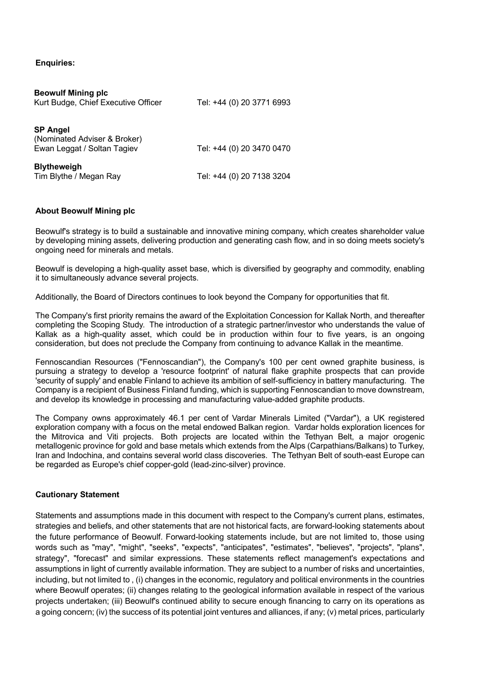## **Enquiries:**

| <b>Beowulf Mining plc</b><br>Kurt Budge, Chief Executive Officer               | Tel: +44 (0) 20 3771 6993 |
|--------------------------------------------------------------------------------|---------------------------|
| <b>SP Angel</b><br>(Nominated Adviser & Broker)<br>Ewan Leggat / Soltan Tagiev | Tel: +44 (0) 20 3470 0470 |
| <b>Blytheweigh</b><br>Tim Blythe / Megan Ray                                   | Tel: +44 (0) 20 7138 3204 |

## **About Beowulf Mining plc**

Beowulf's strategy is to build a sustainable and innovative mining company, which creates shareholder value by developing mining assets, delivering production and generating cash flow, and in so doing meets society's ongoing need for minerals and metals.

Beowulf is developing a high-quality asset base, which is diversified by geography and commodity, enabling it to simultaneously advance several projects.

Additionally, the Board of Directors continues to look beyond the Company for opportunities that fit.

The Company's first priority remains the award of the Exploitation Concession for Kallak North, and thereafter completing the Scoping Study. The introduction of a strategic partner/investor who understands the value of Kallak as a high-quality asset, which could be in production within four to five years, is an ongoing consideration, but does not preclude the Company from continuing to advance Kallak in the meantime.

Fennoscandian Resources ("Fennoscandian"), the Company's 100 per cent owned graphite business, is pursuing a strategy to develop a 'resource footprint' of natural flake graphite prospects that can provide 'security of supply' and enable Finland to achieve its ambition of self-sufficiency in battery manufacturing. The Company is a recipient of Business Finland funding, which is supporting Fennoscandian to move downstream, and develop its knowledge in processing and manufacturing value-added graphite products.

The Company owns approximately 46.1 per cent of Vardar Minerals Limited ("Vardar"), a UK registered exploration company with a focus on the metal endowed Balkan region. Vardar holds exploration licences for the Mitrovica and Viti projects. Both projects are located within the Tethyan Belt, a major orogenic metallogenic province for gold and base metals which extends from the Alps (Carpathians/Balkans) to Turkey, Iran and Indochina, and contains several world class discoveries. The Tethyan Belt of south-east Europe can be regarded as Europe's chief copper-gold (lead-zinc-silver) province.

## **Cautionary Statement**

Statements and assumptions made in this document with respect to the Company's current plans, estimates, strategies and beliefs, and other statements that are not historical facts, are forward-looking statements about the future performance of Beowulf. Forward-looking statements include, but are not limited to, those using words such as "may", "might", "seeks", "expects", "anticipates", "estimates", "believes", "projects", "plans", strategy", "forecast" and similar expressions. These statements reflect management's expectations and assumptions in light of currently available information. They are subject to a number of risks and uncertainties, including, but not limited to , (i) changes in the economic, regulatory and political environments in the countries where Beowulf operates; (ii) changes relating to the geological information available in respect of the various projects undertaken; (iii) Beowulf's continued ability to secure enough financing to carry on its operations as a going concern; (iv) the success of its potential joint ventures and alliances, if any; (v) metal prices, particularly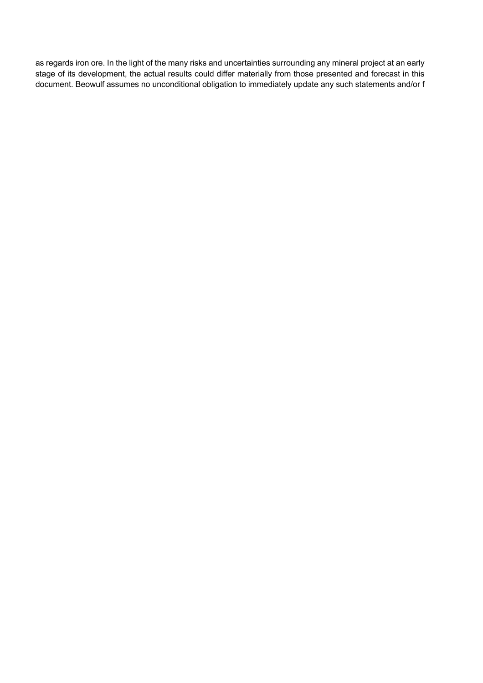as regards iron ore. In the light of the many risks and uncertainties surrounding any mineral project at an early stage of its development, the actual results could differ materially from those presented and forecast in this document. Beowulf assumes no unconditional obligation to immediately update any such statements and/or f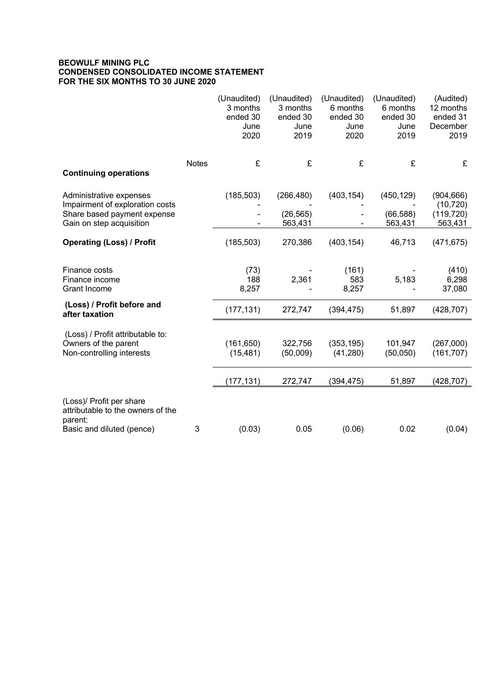#### **BEOWULF MINING PLC CONDENSED CONSOLIDATED INCOME STATEMENT FOR THE SIX MONTHS TO 30 JUNE 2020**

|                                                                                                                       |              | (Unaudited)<br>3 months<br>ended 30<br>June<br>2020 | (Unaudited)<br>3 months<br>ended 30<br>June<br>2019 | (Unaudited)<br>6 months<br>ended 30<br>June<br>2020 | (Unaudited)<br>6 months<br>ended 30<br>June<br>2019 | (Audited)<br>12 months<br>ended 31<br>December<br>2019 |
|-----------------------------------------------------------------------------------------------------------------------|--------------|-----------------------------------------------------|-----------------------------------------------------|-----------------------------------------------------|-----------------------------------------------------|--------------------------------------------------------|
| <b>Continuing operations</b>                                                                                          | <b>Notes</b> | £                                                   | £                                                   | £                                                   | £                                                   | £                                                      |
| Administrative expenses<br>Impairment of exploration costs<br>Share based payment expense<br>Gain on step acquisition |              | (185, 503)                                          | (266, 480)<br>(26, 565)<br>563,431                  | (403, 154)                                          | (450, 129)<br>(66, 588)<br>563,431                  | (904, 666)<br>(10, 720)<br>(119, 720)<br>563,431       |
| <b>Operating (Loss) / Profit</b>                                                                                      |              | (185, 503)                                          | 270,386                                             | (403, 154)                                          | 46,713                                              | (471, 675)                                             |
| Finance costs<br>Finance income<br>Grant Income                                                                       |              | (73)<br>188<br>8,257                                | 2,361                                               | (161)<br>583<br>8,257                               | 5,183                                               | (410)<br>6,298<br>37,080                               |
| (Loss) / Profit before and<br>after taxation                                                                          |              | (177, 131)                                          | 272,747                                             | (394, 475)                                          | 51,897                                              | (428, 707)                                             |
| (Loss) / Profit attributable to:<br>Owners of the parent<br>Non-controlling interests                                 |              | (161, 650)<br>(15, 481)                             | 322,756<br>(50,009)                                 | (353, 195)<br>(41, 280)                             | 101,947<br>(50,050)                                 | (267,000)<br>(161, 707)                                |
|                                                                                                                       |              | (177, 131)                                          | 272,747                                             | (394, 475)                                          | 51,897                                              | (428, 707)                                             |
| (Loss)/ Profit per share<br>attributable to the owners of the<br>parent:<br>Basic and diluted (pence)                 | 3            | (0.03)                                              | 0.05                                                | (0.06)                                              | 0.02                                                | (0.04)                                                 |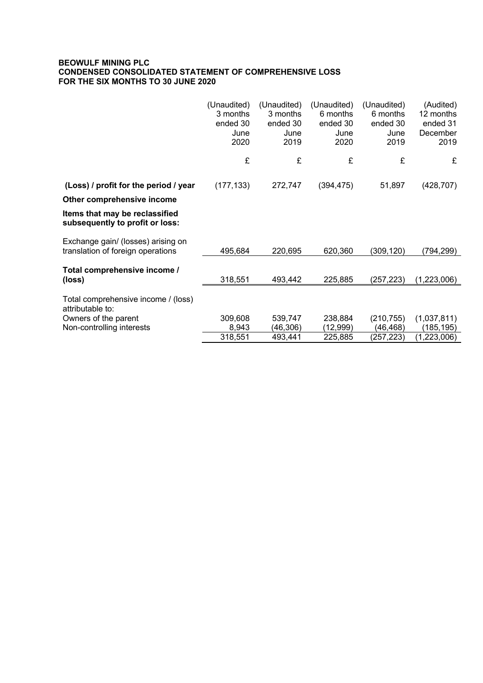## **BEOWULF MINING PLC CONDENSED CONSOLIDATED STATEMENT OF COMPREHENSIVE LOSS FOR THE SIX MONTHS TO 30 JUNE 2020**

|                                                                         | (Unaudited)<br>3 months<br>ended 30<br>June<br>2020 | (Unaudited)<br>3 months<br>ended 30<br>June<br>2019 | (Unaudited)<br>6 months<br>ended 30<br>June<br>2020 | (Unaudited)<br>6 months<br>ended 30<br>June<br>2019 | (Audited)<br>12 months<br>ended 31<br>December<br>2019 |
|-------------------------------------------------------------------------|-----------------------------------------------------|-----------------------------------------------------|-----------------------------------------------------|-----------------------------------------------------|--------------------------------------------------------|
|                                                                         | £                                                   | £                                                   | £                                                   | £                                                   | £                                                      |
| (Loss) / profit for the period / year                                   | (177, 133)                                          | 272,747                                             | (394, 475)                                          | 51,897                                              | (428, 707)                                             |
| Other comprehensive income                                              |                                                     |                                                     |                                                     |                                                     |                                                        |
| Items that may be reclassified<br>subsequently to profit or loss:       |                                                     |                                                     |                                                     |                                                     |                                                        |
| Exchange gain/ (losses) arising on<br>translation of foreign operations | 495,684                                             | 220,695                                             | 620,360                                             | (309,120)                                           | (794,299)                                              |
| Total comprehensive income /<br>(loss)                                  | 318,551                                             | 493,442                                             | 225,885                                             | (257, 223)                                          | (1,223,006)                                            |
| Total comprehensive income / (loss)<br>attributable to:                 |                                                     |                                                     |                                                     |                                                     |                                                        |
| Owners of the parent<br>Non-controlling interests                       | 309,608<br>8,943                                    | 539,747<br>(46, 306)                                | 238,884<br>(12,999)                                 | (210, 755)<br>(46, 468)                             | (1,037,811)<br>(185,195)                               |
|                                                                         | 318,551                                             | 493,441                                             | 225,885                                             | (257,223)                                           | (1,223,006)                                            |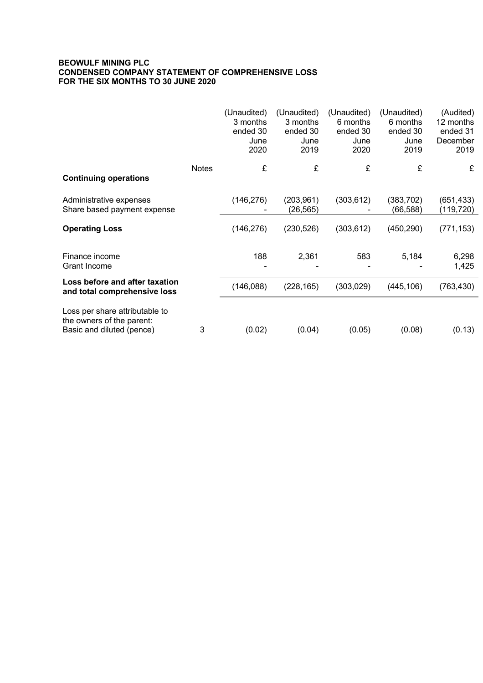#### **BEOWULF MINING PLC CONDENSED COMPANY STATEMENT OF COMPREHENSIVE LOSS FOR THE SIX MONTHS TO 30 JUNE 2020**

|                                                                                          |              | (Unaudited)<br>3 months<br>ended 30<br>June<br>2020 | (Unaudited)<br>3 months<br>ended 30<br>June<br>2019 | (Unaudited)<br>6 months<br>ended 30<br>June<br>2020 | (Unaudited)<br>6 months<br>ended 30<br>June<br>2019 | (Audited)<br>12 months<br>ended 31<br>December<br>2019 |
|------------------------------------------------------------------------------------------|--------------|-----------------------------------------------------|-----------------------------------------------------|-----------------------------------------------------|-----------------------------------------------------|--------------------------------------------------------|
| <b>Continuing operations</b>                                                             | <b>Notes</b> | £                                                   | £                                                   | £                                                   | £                                                   | £                                                      |
| Administrative expenses<br>Share based payment expense                                   |              | (146, 276)                                          | (203, 961)<br>(26, 565)                             | (303, 612)                                          | (383, 702)<br>(66, 588)                             | (651, 433)<br>(119, 720)                               |
| <b>Operating Loss</b>                                                                    |              | (146, 276)                                          | (230, 526)                                          | (303, 612)                                          | (450, 290)                                          | (771, 153)                                             |
| Finance income<br>Grant Income                                                           |              | 188                                                 | 2,361                                               | 583                                                 | 5,184                                               | 6,298<br>1,425                                         |
| Loss before and after taxation<br>and total comprehensive loss                           |              | (146,088)                                           | (228, 165)                                          | (303, 029)                                          | (445, 106)                                          | (763, 430)                                             |
| Loss per share attributable to<br>the owners of the parent:<br>Basic and diluted (pence) | 3            | (0.02)                                              | (0.04)                                              | (0.05)                                              | (0.08)                                              | (0.13)                                                 |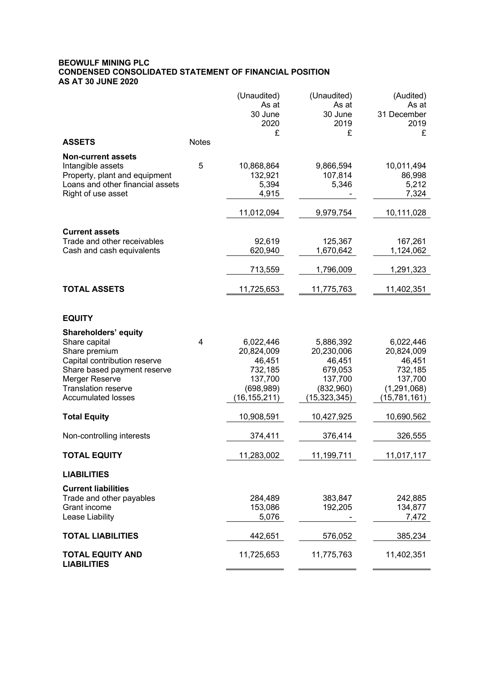## **BEOWULF MINING PLC CONDENSED CONSOLIDATED STATEMENT OF FINANCIAL POSITION AS AT 30 JUNE 2020**

|                                               |              | (Unaudited)<br>As at | (Unaudited)<br>As at | (Audited)<br>As at   |
|-----------------------------------------------|--------------|----------------------|----------------------|----------------------|
|                                               |              | 30 June              | 30 June              | 31 December          |
|                                               |              | 2020                 | 2019                 | 2019                 |
| <b>ASSETS</b>                                 | <b>Notes</b> | £                    | £                    | £                    |
| <b>Non-current assets</b>                     |              |                      |                      |                      |
| Intangible assets                             | 5            | 10,868,864           | 9,866,594            | 10,011,494           |
| Property, plant and equipment                 |              | 132,921              | 107,814              | 86,998               |
| Loans and other financial assets              |              | 5,394                | 5,346                | 5,212                |
| Right of use asset                            |              | 4,915                |                      | 7,324                |
|                                               |              | 11,012,094           | 9,979,754            | 10,111,028           |
| <b>Current assets</b>                         |              |                      |                      |                      |
| Trade and other receivables                   |              | 92,619               | 125,367              | 167,261              |
| Cash and cash equivalents                     |              | 620,940              | 1,670,642            | 1,124,062            |
|                                               |              | 713,559              | 1,796,009            | 1,291,323            |
| <b>TOTAL ASSETS</b>                           |              | 11,725,653           | 11,775,763           | 11,402,351           |
|                                               |              |                      |                      |                      |
| <b>EQUITY</b>                                 |              |                      |                      |                      |
| Shareholders' equity                          |              |                      |                      |                      |
| Share capital                                 | 4            | 6,022,446            | 5,886,392            | 6,022,446            |
| Share premium<br>Capital contribution reserve |              | 20,824,009<br>46,451 | 20,230,006<br>46,451 | 20,824,009<br>46,451 |
| Share based payment reserve                   |              | 732,185              | 679,053              | 732,185              |
| Merger Reserve                                |              | 137,700              | 137,700              | 137,700              |
| <b>Translation reserve</b>                    |              | (698, 989)           | (832,960)            | (1, 291, 068)        |
| <b>Accumulated losses</b>                     |              | (16, 155, 211)       | (15, 323, 345)       | (15, 781, 161)       |
| <b>Total Equity</b>                           |              | 10,908,591           | 10,427,925           | 10,690,562           |
| Non-controlling interests                     |              | 374,411              | 376,414              | 326,555              |
| <b>TOTAL EQUITY</b>                           |              | 11,283,002           | <u>11,199,711</u>    | 11,017,117           |
| <b>LIABILITIES</b>                            |              |                      |                      |                      |
| <b>Current liabilities</b>                    |              |                      |                      |                      |
| Trade and other payables                      |              | 284,489              | 383,847              | 242,885              |
| Grant income                                  |              | 153,086              | 192,205              | 134,877              |
| Lease Liability                               |              | 5,076                |                      | 7,472                |
| <b>TOTAL LIABILITIES</b>                      |              | 442,651              | 576,052              | 385,234              |
| <b>TOTAL EQUITY AND</b><br><b>LIABILITIES</b> |              | 11,725,653           | 11,775,763           | 11,402,351           |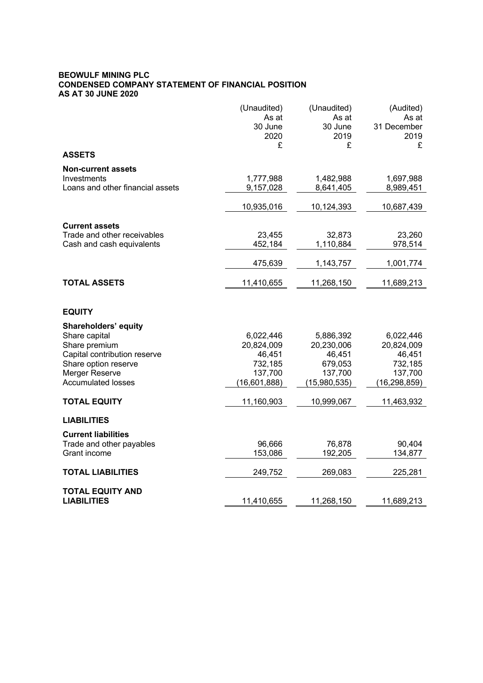#### **BEOWULF MINING PLC CONDENSED COMPANY STATEMENT OF FINANCIAL POSITION AS AT 30 JUNE 2020**

|                                  | (Unaudited)  | (Unaudited)  | (Audited)      |
|----------------------------------|--------------|--------------|----------------|
|                                  | As at        | As at        | As at          |
|                                  | 30 June      | 30 June      | 31 December    |
|                                  | 2020         | 2019         | 2019           |
|                                  | £            | £            | £              |
| <b>ASSETS</b>                    |              |              |                |
| <b>Non-current assets</b>        |              |              |                |
| Investments                      | 1,777,988    | 1,482,988    | 1,697,988      |
| Loans and other financial assets | 9,157,028    | 8,641,405    | 8,989,451      |
|                                  |              |              |                |
|                                  | 10,935,016   | 10,124,393   | 10,687,439     |
| <b>Current assets</b>            |              |              |                |
| Trade and other receivables      | 23,455       | 32,873       | 23,260         |
| Cash and cash equivalents        | 452,184      | 1,110,884    | 978,514        |
|                                  |              |              |                |
|                                  | 475,639      | 1,143,757    | 1,001,774      |
| <b>TOTAL ASSETS</b>              | 11,410,655   | 11,268,150   | 11,689,213     |
|                                  |              |              |                |
| <b>EQUITY</b>                    |              |              |                |
| <b>Shareholders' equity</b>      |              |              |                |
| Share capital                    | 6,022,446    | 5,886,392    | 6,022,446      |
| Share premium                    | 20,824,009   | 20,230,006   | 20,824,009     |
| Capital contribution reserve     | 46,451       | 46,451       | 46,451         |
| Share option reserve             | 732,185      | 679,053      | 732,185        |
| Merger Reserve                   | 137,700      | 137,700      | 137,700        |
| <b>Accumulated losses</b>        | (16,601,888) | (15,980,535) | (16, 298, 859) |
|                                  |              |              |                |
| <b>TOTAL EQUITY</b>              | 11,160,903   | 10,999,067   | 11,463,932     |
| <b>LIABILITIES</b>               |              |              |                |
| <b>Current liabilities</b>       |              |              |                |
| Trade and other payables         | 96,666       | 76,878       | 90,404         |
| Grant income                     | 153,086      | 192,205      | 134,877        |
|                                  |              |              |                |
| <b>TOTAL LIABILITIES</b>         | 249,752      | 269,083      | 225,281        |
|                                  |              |              |                |
| <b>TOTAL EQUITY AND</b>          |              |              |                |
| <b>LIABILITIES</b>               | 11,410,655   | 11,268,150   | 11,689,213     |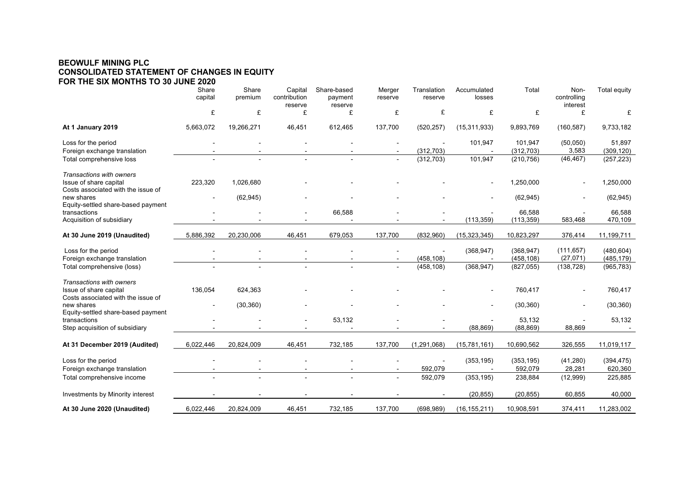#### **BEOWULF MINING PLC CONSOLIDATED STATEMENT OF CHANGES IN EQUITY FOR THE SIX MONTHS TO 30 JUNE 2020**

|                                                                                          | Share<br>capital | Share<br>premium | Capital<br>contribution<br>reserve | Share-based<br>payment<br>reserve | Merger<br>reserve | Translation<br>reserve | Accumulated<br>losses | Total                    | Non-<br>controlling<br>interest | Total equity             |
|------------------------------------------------------------------------------------------|------------------|------------------|------------------------------------|-----------------------------------|-------------------|------------------------|-----------------------|--------------------------|---------------------------------|--------------------------|
|                                                                                          | £                | £                | £                                  | £                                 | £                 | £                      | £                     | £                        | £                               | £                        |
| At 1 January 2019                                                                        | 5,663,072        | 19,266,271       | 46,451                             | 612,465                           | 137,700           | (520, 257)             | (15, 311, 933)        | 9,893,769                | (160, 587)                      | 9,733,182                |
| Loss for the period<br>Foreign exchange translation                                      |                  |                  |                                    |                                   |                   | (312, 703)             | 101,947               | 101,947<br>(312, 703)    | (50,050)<br>3,583               | 51,897<br>(309, 120)     |
| Total comprehensive loss                                                                 |                  |                  | $\overline{a}$                     |                                   | $\sim$            | (312, 703)             | 101,947               | (210, 756)               | (46, 467)                       | (257, 223)               |
| Transactions with owners<br>Issue of share capital<br>Costs associated with the issue of | 223,320          | 1,026,680        |                                    |                                   |                   |                        |                       | 1,250,000                |                                 | 1,250,000                |
| new shares<br>Equity-settled share-based payment                                         |                  | (62, 945)        |                                    |                                   |                   |                        |                       | (62, 945)                |                                 | (62, 945)                |
| transactions<br>Acquisition of subsidiary                                                |                  |                  |                                    | 66,588                            |                   |                        | (113, 359)            | 66,588<br>(113, 359)     | 583,468                         | 66,588<br>470,109        |
| At 30 June 2019 (Unaudited)                                                              | 5,886,392        | 20,230,006       | 46,451                             | 679,053                           | 137,700           | (832,960)              | (15, 323, 345)        | 10,823,297               | 376,414                         | 11,199,711               |
| Loss for the period<br>Foreign exchange translation                                      |                  |                  |                                    |                                   |                   | (458, 108)             | (368, 947)            | (368, 947)<br>(458, 108) | (111, 657)<br>(27, 071)         | (480, 604)<br>(485, 179) |
| Total comprehensive (loss)                                                               |                  |                  |                                    |                                   |                   | (458, 108)             | (368, 947)            | (827, 055)               | (138, 728)                      | (965, 783)               |
| Transactions with owners<br>Issue of share capital<br>Costs associated with the issue of | 136,054          | 624,363          |                                    |                                   |                   |                        | $\blacksquare$        | 760,417                  | ٠                               | 760,417                  |
| new shares<br>Equity-settled share-based payment                                         |                  | (30, 360)        |                                    |                                   |                   |                        |                       | (30, 360)                |                                 | (30, 360)                |
| transactions<br>Step acquisition of subsidiary                                           |                  |                  |                                    | 53,132                            |                   |                        | (88, 869)             | 53,132<br>(88, 869)      | 88,869                          | 53,132                   |
| At 31 December 2019 (Audited)                                                            | 6,022,446        | 20,824,009       | 46,451                             | 732,185                           | 137,700           | (1, 291, 068)          | (15, 781, 161)        | 10,690,562               | 326,555                         | 11,019,117               |
| Loss for the period<br>Foreign exchange translation                                      |                  |                  |                                    |                                   |                   | 592,079                | (353, 195)            | (353, 195)<br>592,079    | (41, 280)<br>28,281             | (394, 475)<br>620,360    |
| Total comprehensive income                                                               |                  |                  |                                    |                                   |                   | 592,079                | (353, 195)            | 238,884                  | (12,999)                        | 225,885                  |
| Investments by Minority interest                                                         |                  |                  |                                    |                                   |                   |                        | (20, 855)             | (20, 855)                | 60,855                          | 40,000                   |
| At 30 June 2020 (Unaudited)                                                              | 6,022,446        | 20,824,009       | 46,451                             | 732,185                           | 137,700           | (698, 989)             | (16, 155, 211)        | 10,908,591               | 374,411                         | 11,283,002               |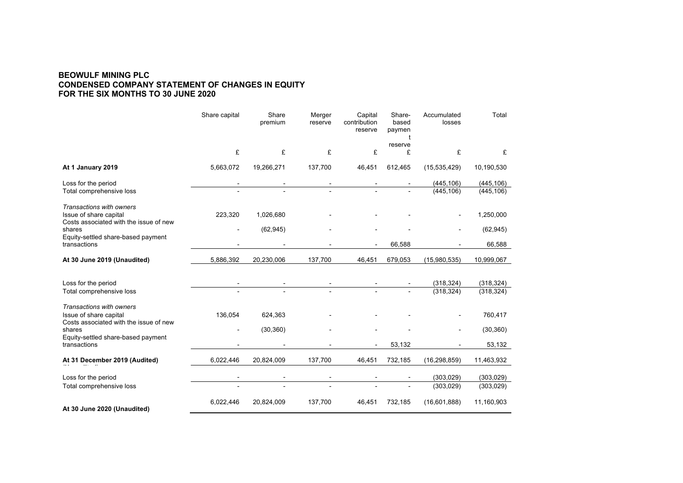#### **BEOWULF MINING PLC CONDENSED COMPANY STATEMENT OF CHANGES IN EQUITY FOR THE SIX MONTHS TO 30 JUNE 2020**

|                                                                                              | Share capital  | Share<br>premium | Merger<br>reserve | Capital<br>contribution<br>reserve | Share-<br>based<br>paymen<br>t<br>reserve | Accumulated<br>losses | Total      |
|----------------------------------------------------------------------------------------------|----------------|------------------|-------------------|------------------------------------|-------------------------------------------|-----------------------|------------|
|                                                                                              | £              | £                | £                 | £                                  | £                                         | £                     | £          |
| At 1 January 2019                                                                            | 5,663,072      | 19,266,271       | 137,700           | 46,451                             | 612,465                                   | (15, 535, 429)        | 10,190,530 |
| Loss for the period                                                                          |                |                  |                   |                                    |                                           | (445, 106)            | (445, 106) |
| Total comprehensive loss                                                                     |                |                  |                   |                                    |                                           | (445, 106)            | (445, 106) |
| Transactions with owners<br>Issue of share capital<br>Costs associated with the issue of new | 223,320        | 1,026,680        |                   |                                    |                                           |                       | 1,250,000  |
| shares                                                                                       | $\overline{a}$ | (62, 945)        |                   |                                    |                                           |                       | (62, 945)  |
| Equity-settled share-based payment<br>transactions                                           |                |                  |                   |                                    | 66,588                                    |                       | 66,588     |
| At 30 June 2019 (Unaudited)                                                                  | 5,886,392      | 20,230,006       | 137,700           | 46,451                             | 679,053                                   | (15,980,535)          | 10,999,067 |
| Loss for the period                                                                          |                |                  |                   |                                    |                                           | (318, 324)            | (318, 324) |
| Total comprehensive loss                                                                     |                |                  |                   |                                    |                                           | (318, 324)            | (318, 324) |
| Transactions with owners<br>Issue of share capital<br>Costs associated with the issue of new | 136,054        | 624,363          |                   |                                    |                                           |                       | 760,417    |
| shares                                                                                       |                | (30, 360)        |                   |                                    |                                           |                       | (30, 360)  |
| Equity-settled share-based payment<br>transactions                                           |                |                  |                   |                                    | 53,132                                    |                       | 53,132     |
| At 31 December 2019 (Audited)                                                                | 6,022,446      | 20,824,009       | 137,700           | 46,451                             | 732,185                                   | (16, 298, 859)        | 11,463,932 |
| Loss for the period                                                                          |                |                  |                   |                                    |                                           | (303, 029)            | (303, 029) |
| Total comprehensive loss                                                                     |                |                  |                   |                                    |                                           | (303, 029)            | (303, 029) |
| At 30 June 2020 (Unaudited)                                                                  | 6,022,446      | 20,824,009       | 137,700           | 46,451                             | 732,185                                   | (16,601,888)          | 11,160,903 |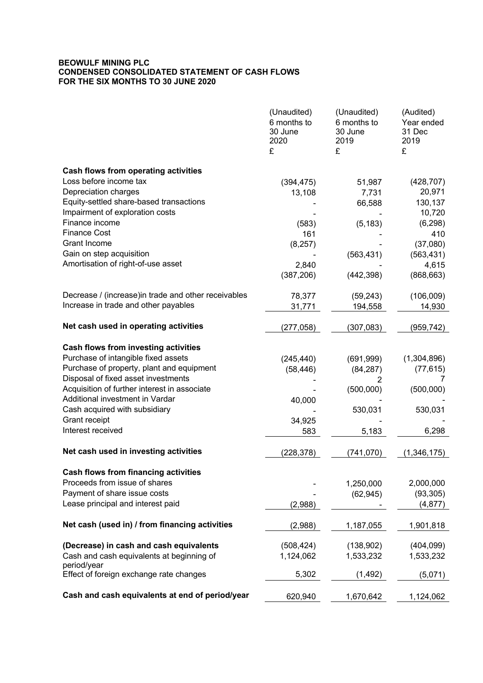## **BEOWULF MINING PLC CONDENSED CONSOLIDATED STATEMENT OF CASH FLOWS FOR THE SIX MONTHS TO 30 JUNE 2020**

|                                                                       | (Unaudited)<br>6 months to<br>30 June<br>2020<br>£ | (Unaudited)<br>6 months to<br>30 June<br>2019<br>£ | (Audited)<br>Year ended<br>31 Dec<br>2019<br>£ |
|-----------------------------------------------------------------------|----------------------------------------------------|----------------------------------------------------|------------------------------------------------|
|                                                                       |                                                    |                                                    |                                                |
| <b>Cash flows from operating activities</b><br>Loss before income tax |                                                    |                                                    |                                                |
| Depreciation charges                                                  | (394, 475)                                         | 51,987                                             | (428, 707)<br>20,971                           |
| Equity-settled share-based transactions                               | 13,108                                             | 7,731<br>66,588                                    | 130,137                                        |
| Impairment of exploration costs                                       |                                                    |                                                    | 10,720                                         |
| Finance income                                                        | (583)                                              | (5, 183)                                           | (6, 298)                                       |
| <b>Finance Cost</b>                                                   | 161                                                |                                                    | 410                                            |
| Grant Income                                                          | (8, 257)                                           |                                                    | (37,080)                                       |
| Gain on step acquisition                                              |                                                    | (563, 431)                                         | (563, 431)                                     |
| Amortisation of right-of-use asset                                    | 2,840                                              |                                                    | 4,615                                          |
|                                                                       | (387, 206)                                         | (442, 398)                                         | (868, 663)                                     |
| Decrease / (increase) in trade and other receivables                  | 78,377                                             | (59, 243)                                          | (106,009)                                      |
| Increase in trade and other payables                                  | 31,771                                             | 194,558                                            | 14,930                                         |
| Net cash used in operating activities                                 | (277,058)                                          | (307, 083)                                         | (959,742)                                      |
| <b>Cash flows from investing activities</b>                           |                                                    |                                                    |                                                |
| Purchase of intangible fixed assets                                   | (245, 440)                                         | (691, 999)                                         | (1,304,896)                                    |
| Purchase of property, plant and equipment                             | (58, 446)                                          | (84, 287)                                          | (77, 615)                                      |
| Disposal of fixed asset investments                                   |                                                    | 2                                                  | 7                                              |
| Acquisition of further interest in associate                          |                                                    | (500,000)                                          | (500,000)                                      |
| Additional investment in Vardar                                       | 40,000                                             |                                                    |                                                |
| Cash acquired with subsidiary                                         |                                                    | 530,031                                            | 530,031                                        |
| Grant receipt<br>Interest received                                    | 34,925                                             |                                                    |                                                |
|                                                                       | 583                                                | 5,183                                              | 6,298                                          |
| Net cash used in investing activities                                 | (228,378)                                          | (741,070)                                          | (1,346,175)                                    |
| <b>Cash flows from financing activities</b>                           |                                                    |                                                    |                                                |
| Proceeds from issue of shares                                         |                                                    | 1,250,000                                          | 2,000,000                                      |
| Payment of share issue costs                                          |                                                    | (62, 945)                                          | (93, 305)                                      |
| Lease principal and interest paid                                     | (2,988)                                            |                                                    | (4, 877)                                       |
| Net cash (used in) / from financing activities                        | (2,988)                                            | 1,187,055                                          | 1,901,818                                      |
| (Decrease) in cash and cash equivalents                               | (508, 424)                                         | (138, 902)                                         | (404, 099)                                     |
| Cash and cash equivalents at beginning of<br>period/year              | 1,124,062                                          | 1,533,232                                          | 1,533,232                                      |
| Effect of foreign exchange rate changes                               | 5,302                                              | (1, 492)                                           | (5,071)                                        |
| Cash and cash equivalents at end of period/year                       | 620,940                                            | 1,670,642                                          | 1,124,062                                      |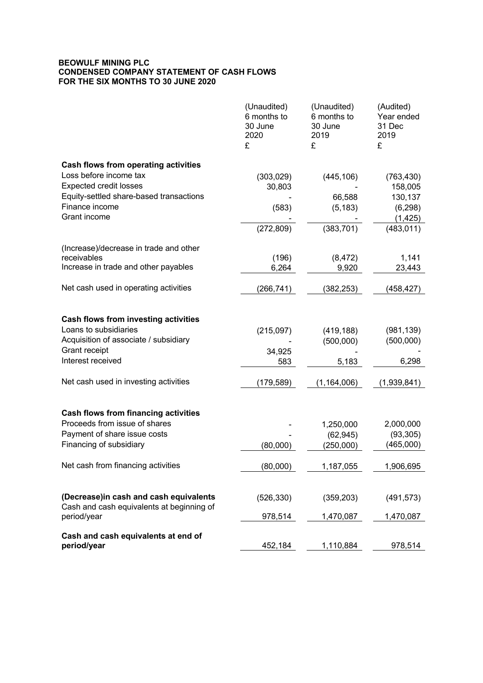#### **BEOWULF MINING PLC CONDENSED COMPANY STATEMENT OF CASH FLOWS FOR THE SIX MONTHS TO 30 JUNE 2020**

|                                                                                     | (Unaudited)<br>6 months to<br>30 June<br>2020<br>£ | (Unaudited)<br>6 months to<br>30 June<br>2019<br>£ | (Audited)<br>Year ended<br>31 Dec<br>2019<br>£ |
|-------------------------------------------------------------------------------------|----------------------------------------------------|----------------------------------------------------|------------------------------------------------|
| <b>Cash flows from operating activities</b>                                         |                                                    |                                                    |                                                |
| Loss before income tax                                                              | (303, 029)                                         | (445, 106)                                         | (763, 430)                                     |
| <b>Expected credit losses</b>                                                       | 30,803                                             |                                                    | 158,005                                        |
| Equity-settled share-based transactions                                             |                                                    | 66,588                                             | 130,137                                        |
| Finance income                                                                      | (583)                                              | (5, 183)                                           | (6, 298)                                       |
| Grant income                                                                        |                                                    |                                                    | (1, 425)                                       |
|                                                                                     | (272, 809)                                         | (383, 701)                                         | (483, 011)                                     |
| (Increase)/decrease in trade and other                                              |                                                    |                                                    |                                                |
| receivables                                                                         | (196)                                              | (8, 472)                                           | 1,141                                          |
| Increase in trade and other payables                                                | 6,264                                              | 9,920                                              | 23,443                                         |
| Net cash used in operating activities                                               | (266, 741)                                         | (382, 253)                                         | (458, 427)                                     |
| <b>Cash flows from investing activities</b>                                         |                                                    |                                                    |                                                |
| Loans to subsidiaries                                                               | (215,097)                                          | (419, 188)                                         | (981, 139)                                     |
| Acquisition of associate / subsidiary                                               |                                                    | (500,000)                                          | (500,000)                                      |
| Grant receipt                                                                       | 34,925                                             |                                                    |                                                |
| Interest received                                                                   | 583                                                | 5,183                                              | 6,298                                          |
| Net cash used in investing activities                                               | (179,589)                                          | (1, 164, 006)                                      | (1,939,841)                                    |
| <b>Cash flows from financing activities</b>                                         |                                                    |                                                    |                                                |
| Proceeds from issue of shares                                                       |                                                    | 1,250,000                                          | 2,000,000                                      |
| Payment of share issue costs                                                        |                                                    | (62, 945)                                          | (93, 305)                                      |
| Financing of subsidiary                                                             | (80,000)                                           | (250,000)                                          | (465,000)                                      |
| Net cash from financing activities                                                  | (80,000)                                           | 1,187,055                                          | 1,906,695                                      |
|                                                                                     |                                                    |                                                    |                                                |
| (Decrease)in cash and cash equivalents<br>Cash and cash equivalents at beginning of | (526, 330)                                         | (359, 203)                                         | (491, 573)                                     |
| period/year                                                                         | 978,514                                            | 1,470,087                                          | 1,470,087                                      |
| Cash and cash equivalents at end of                                                 |                                                    |                                                    |                                                |
| period/year                                                                         | 452,184                                            | 1,110,884                                          | 978,514                                        |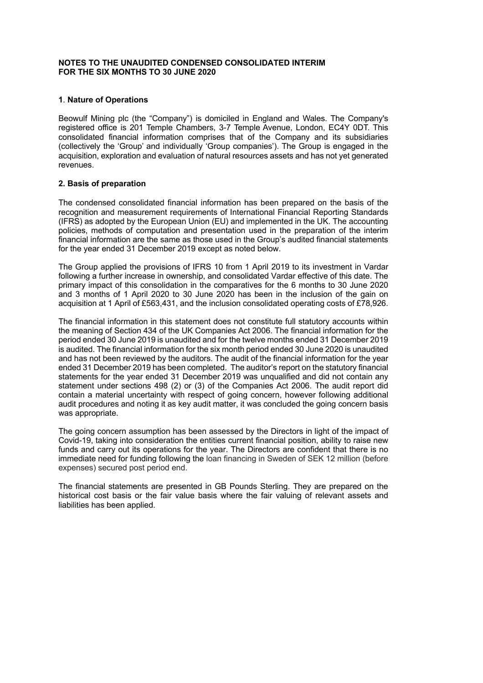#### **NOTES TO THE UNAUDITED CONDENSED CONSOLIDATED INTERIM FOR THE SIX MONTHS TO 30 JUNE 2020**

#### **1**. **Nature of Operations**

Beowulf Mining plc (the "Company") is domiciled in England and Wales. The Company's registered office is 201 Temple Chambers, 3-7 Temple Avenue, London, EC4Y 0DT. This consolidated financial information comprises that of the Company and its subsidiaries (collectively the 'Group' and individually 'Group companies'). The Group is engaged in the acquisition, exploration and evaluation of natural resources assets and has not yet generated revenues.

#### **2. Basis of preparation**

The condensed consolidated financial information has been prepared on the basis of the recognition and measurement requirements of International Financial Reporting Standards (IFRS) as adopted by the European Union (EU) and implemented in the UK. The accounting policies, methods of computation and presentation used in the preparation of the interim financial information are the same as those used in the Group's audited financial statements for the year ended 31 December 2019 except as noted below.

The Group applied the provisions of IFRS 10 from 1 April 2019 to its investment in Vardar following a further increase in ownership, and consolidated Vardar effective of this date. The primary impact of this consolidation in the comparatives for the 6 months to 30 June 2020 and 3 months of 1 April 2020 to 30 June 2020 has been in the inclusion of the gain on acquisition at 1 April of £563,431, and the inclusion consolidated operating costs of £78,926.

The financial information in this statement does not constitute full statutory accounts within the meaning of Section 434 of the UK Companies Act 2006. The financial information for the period ended 30 June 2019 is unaudited and for the twelve months ended 31 December 2019 is audited. The financial information for the six month period ended 30 June 2020 is unaudited and has not been reviewed by the auditors. The audit of the financial information for the year ended 31 December 2019 has been completed. The auditor's report on the statutory financial statements for the year ended 31 December 2019 was unqualified and did not contain any statement under sections 498 (2) or (3) of the Companies Act 2006. The audit report did contain a material uncertainty with respect of going concern, however following additional audit procedures and noting it as key audit matter, it was concluded the going concern basis was appropriate.

The going concern assumption has been assessed by the Directors in light of the impact of Covid-19, taking into consideration the entities current financial position, ability to raise new funds and carry out its operations for the year. The Directors are confident that there is no immediate need for funding following the loan financing in Sweden of SEK 12 million (before expenses) secured post period end.

The financial statements are presented in GB Pounds Sterling. They are prepared on the historical cost basis or the fair value basis where the fair valuing of relevant assets and liabilities has been applied.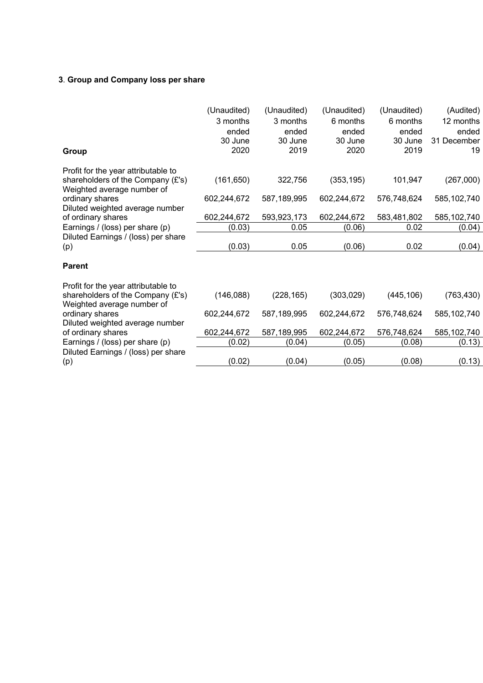# **3**. **Group and Company loss per share**

| Group                                                                                                  | (Unaudited)<br>3 months<br>ended<br>30 June<br>2020 | (Unaudited)<br>3 months<br>ended<br>30 June<br>2019 | (Unaudited)<br>6 months<br>ended<br>30 June<br>2020 | (Unaudited)<br>6 months<br>ended<br>30 June<br>2019 | (Audited)<br>12 months<br>ended<br>31 December<br>19 |
|--------------------------------------------------------------------------------------------------------|-----------------------------------------------------|-----------------------------------------------------|-----------------------------------------------------|-----------------------------------------------------|------------------------------------------------------|
| Profit for the year attributable to<br>shareholders of the Company (£'s)<br>Weighted average number of | (161, 650)                                          | 322,756                                             | (353, 195)                                          | 101,947                                             | (267,000)                                            |
| ordinary shares<br>Diluted weighted average number                                                     | 602,244,672                                         | 587,189,995                                         | 602,244,672                                         | 576,748,624                                         | 585,102,740                                          |
| of ordinary shares                                                                                     | 602,244,672                                         | 593,923,173                                         | 602,244,672                                         | 583,481,802                                         | 585,102,740                                          |
| Earnings / (loss) per share (p)                                                                        | (0.03)                                              | 0.05                                                | (0.06)                                              | 0.02                                                | (0.04)                                               |
| Diluted Earnings / (loss) per share<br>(p)                                                             | (0.03)                                              | 0.05                                                | (0.06)                                              | 0.02                                                | (0.04)                                               |
| <b>Parent</b>                                                                                          |                                                     |                                                     |                                                     |                                                     |                                                      |
| Profit for the year attributable to                                                                    |                                                     |                                                     |                                                     |                                                     |                                                      |
| shareholders of the Company (£'s)<br>Weighted average number of                                        | (146, 088)                                          | (228, 165)                                          | (303, 029)                                          | (445, 106)                                          | (763, 430)                                           |
| ordinary shares<br>Diluted weighted average number                                                     | 602,244,672                                         | 587,189,995                                         | 602,244,672                                         | 576,748,624                                         | 585,102,740                                          |
| of ordinary shares                                                                                     | 602,244,672                                         | 587,189,995                                         | 602,244,672                                         | 576,748,624                                         | 585,102,740                                          |
| Earnings / (loss) per share (p)                                                                        | (0.02)                                              | (0.04)                                              | (0.05)                                              | (0.08)                                              | (0.13)                                               |
| Diluted Earnings / (loss) per share                                                                    |                                                     |                                                     |                                                     |                                                     |                                                      |
| (p)                                                                                                    | (0.02)                                              | (0.04)                                              | (0.05)                                              | (0.08)                                              | (0.13)                                               |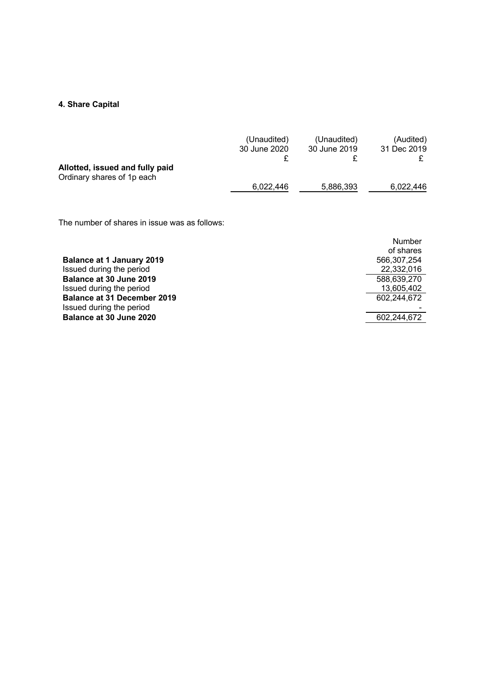# **4. Share Capital**

|                                 | (Unaudited)  | (Unaudited)  | (Audited)   |
|---------------------------------|--------------|--------------|-------------|
|                                 | 30 June 2020 | 30 June 2019 | 31 Dec 2019 |
|                                 |              |              |             |
| Allotted, issued and fully paid |              |              |             |
| Ordinary shares of 1p each      |              |              |             |
|                                 | 6.022.446    | 5,886,393    | 6.022.446   |

The number of shares in issue was as follows:

|                                    | Number      |
|------------------------------------|-------------|
|                                    | of shares   |
| <b>Balance at 1 January 2019</b>   | 566.307.254 |
| Issued during the period           | 22,332,016  |
| Balance at 30 June 2019            | 588,639,270 |
| Issued during the period           | 13,605,402  |
| <b>Balance at 31 December 2019</b> | 602,244,672 |
| Issued during the period           |             |
| Balance at 30 June 2020            | 602.244.672 |
|                                    |             |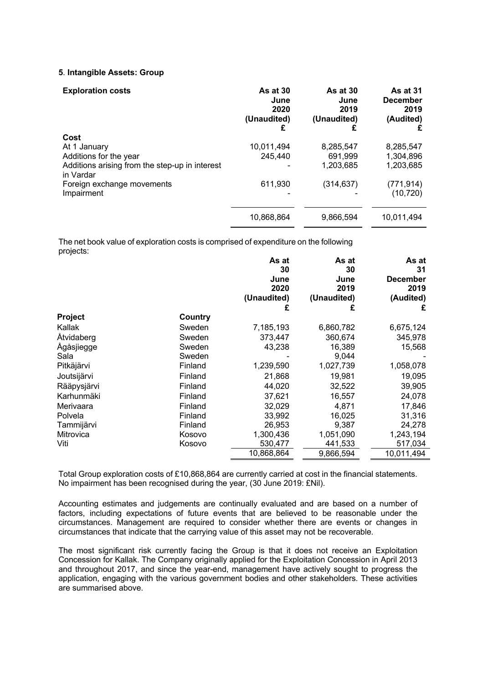#### **5**. **Intangible Assets: Group**

| <b>Exploration costs</b>                                    | As at $30$<br>June<br>2020<br>(Unaudited)<br>£ | As at $30$<br>June<br>2019<br>(Unaudited) | <b>As at 31</b><br><b>December</b><br>2019<br>(Audited) |
|-------------------------------------------------------------|------------------------------------------------|-------------------------------------------|---------------------------------------------------------|
| Cost                                                        |                                                |                                           |                                                         |
| At 1 January                                                | 10,011,494                                     | 8,285,547                                 | 8.285.547                                               |
| Additions for the year                                      | 245,440                                        | 691,999                                   | 1,304,896                                               |
| Additions arising from the step-up in interest<br>in Vardar |                                                | 1,203,685                                 | 1,203,685                                               |
| Foreign exchange movements                                  | 611,930                                        | (314, 637)                                | (771, 914)                                              |
| Impairment                                                  |                                                |                                           | (10, 720)                                               |
|                                                             | 10,868,864                                     | 9.866.594                                 | 10.011.494                                              |

The net book value of exploration costs is comprised of expenditure on the following projects:

|                |         | As at<br>30                 | As at<br>30                 | As at<br>31                          |
|----------------|---------|-----------------------------|-----------------------------|--------------------------------------|
|                |         | June<br>2020<br>(Unaudited) | June<br>2019<br>(Unaudited) | <b>December</b><br>2019<br>(Audited) |
|                |         | £                           | £                           | £                                    |
| <b>Project</b> | Country |                             |                             |                                      |
| Kallak         | Sweden  | 7,185,193                   | 6,860,782                   | 6,675,124                            |
| Åtvidaberg     | Sweden  | 373,447                     | 360,674                     | 345,978                              |
| Ågåsjiegge     | Sweden  | 43,238                      | 16,389                      | 15,568                               |
| Sala           | Sweden  |                             | 9,044                       |                                      |
| Pitkäjärvi     | Finland | 1,239,590                   | 1,027,739                   | 1,058,078                            |
| Joutsijärvi    | Finland | 21,868                      | 19,981                      | 19,095                               |
| Rääpysjärvi    | Finland | 44,020                      | 32,522                      | 39,905                               |
| Karhunmäki     | Finland | 37,621                      | 16,557                      | 24,078                               |
| Merivaara      | Finland | 32,029                      | 4,871                       | 17,846                               |
| Polvela        | Finland | 33,992                      | 16,025                      | 31,316                               |
| Tammijärvi     | Finland | 26,953                      | 9,387                       | 24,278                               |
| Mitrovica      | Kosovo  | 1,300,436                   | 1,051,090                   | 1,243,194                            |
| Viti           | Kosovo  | 530,477                     | 441,533                     | 517,034                              |
|                |         | 10,868,864                  | 9,866,594                   | 10,011,494                           |

Total Group exploration costs of £10,868,864 are currently carried at cost in the financial statements. No impairment has been recognised during the year, (30 June 2019: £Nil).

Accounting estimates and judgements are continually evaluated and are based on a number of factors, including expectations of future events that are believed to be reasonable under the circumstances. Management are required to consider whether there are events or changes in circumstances that indicate that the carrying value of this asset may not be recoverable.

The most significant risk currently facing the Group is that it does not receive an Exploitation Concession for Kallak. The Company originally applied for the Exploitation Concession in April 2013 and throughout 2017, and since the year-end, management have actively sought to progress the application, engaging with the various government bodies and other stakeholders. These activities are summarised above.